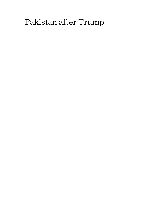# Pakistan after Trump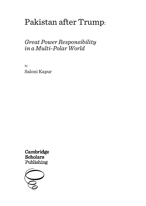# Pakistan after Trump:

# *Great Power Responsibility in a Multi-Polar World*

By Saloni Kapur

Cambridge Scholars Publishing

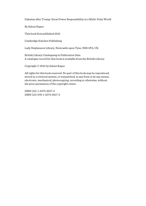Pakistan after Trump: Great Power Responsibility in a Multi-Polar World

By Saloni Kapur

This book first published 2021

Cambridge Scholars Publishing

Lady Stephenson Library, Newcastle upon Tyne, NE6 2PA, UK

British Library Cataloguing in Publication Data A catalogue record for this book is available from the British Library

Copyright © 2021 by Saloni Kapur

All rights for this book reserved. No part of this book may be reproduced, stored in a retrieval system, or transmitted, in any form or by any means, electronic, mechanical, photocopying, recording or otherwise, without the prior permission of the copyright owner.

ISBN (10): 1-5275-6517-3 ISBN (13): 978-1-5275-6517-3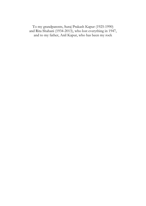To my grandparents, Suraj Prakash Kapur (1925-1990) and Rita Shahani (1934-2013), who lost everything in 1947, and to my father, Anil Kapur, who has been my rock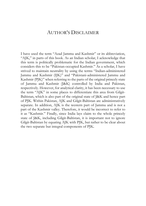# AUTHOR'S DISCLAIMER

I have used the term "Azad Jammu and Kashmir" or its abbreviation, "AJK," in parts of this book. As an Indian scholar, I acknowledge that this term is politically problematic for the Indian government, which considers this to be "Pakistan-occupied Kashmir." As a scholar, I have strived to maintain neutrality by using the terms "Indian-administered Jammu and Kashmir (IJK)" and "Pakistani-administered Jammu and Kashmir (PJK)" when referring to the parts of the original princely state of Jammu and Kashmir (J&K) controlled by India and Pakistan, respectively. However, for analytical clarity, it has been necessary to use the term "AJK" in some places to differentiate this area from Gilgit-Baltistan, which is also part of the original state of J&K and hence part of PJK. Within Pakistan, AJK and Gilgit-Baltistan are administratively separate. In addition, AJK is the western part of Jammu and is not a part of the Kashmir valley. Therefore, it would be incorrect to refer to it as "Kashmir." Finally, since India lays claim to the whole princely state of J&K, including Gilgit-Baltistan, it is important not to ignore Gilgit-Baltistan by equating AJK with PJK, but rather to be clear about the two separate but integral components of PJK.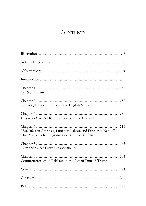# **CONTENTS**

| On Normativity                                                                                                    |
|-------------------------------------------------------------------------------------------------------------------|
| Studying Terrorism through the English School                                                                     |
| Hungami Halat: A Historical Sociology of Pakistan                                                                 |
| "Breakfast in Amritsar, Lunch in Lahore and Dinner in Kabul:"<br>The Prospects for Regional Society in South Asia |
| 1979 and Great-Power Responsibility                                                                               |
| Counterterrorism in Pakistan in the Age of Donald Trump                                                           |
|                                                                                                                   |
|                                                                                                                   |
|                                                                                                                   |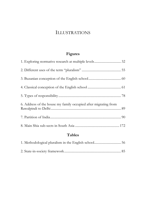# ILLUSTRATIONS

# **Figures**

| 6. Address of the house my family occupied after migrating from |  |
|-----------------------------------------------------------------|--|
|                                                                 |  |
|                                                                 |  |

# **Tables**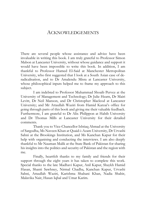## ACKNOWLEDGEMENTS

There are several people whose assistance and advice have been invaluable in writing this book. I am truly grateful to Professor Simon Mabon at Lancaster University, without whose guidance and support it would have been impossible to write this book. In addition, I am thankful to Professor Hamed El-Said at Manchester Metropolitan University, who first suggested that I look at a South Asian case of deradicalisation, and to Dr Amalendu Misra at Lancaster University, whose philosophical inputs helped me to frame my approach to this subject.

I am indebted to Professor Muhammad Shoaib Pervez at the University of Management and Technology; Dr Julie Hearn, Dr Mairi Levitt, Dr Neil Manson, and Dr Christopher Macleod at Lancaster University; and Mr Attaullah Waziri from Hamid Karzai's office for going through parts of this book and giving me their valuable feedback. Furthermore, I am grateful to Dr Alix Philippon at Habib University and Dr Thomas Mills at Lancaster University for their detailed comments.

Thank you to Vice-Chancellor Ishtiaq Ahmad at the University of Sargodha, Ms Naveen Khan at Quaid-i-Azam University, Dr Urvashi Sahni at the Brookings Institution, and Ms Kanchan Kapur for their help with organising and conducting the interviews. I am also deeply thankful to Mr Nauman Malik at the State Bank of Pakistan for sharing his insights into the politics and security of Pakistan and the region with me.

Finally, heartfelt thanks to my family and friends for their support through the eight years it has taken to complete this work. Special thanks to the late Madhavi Kapur, Anil Kapur, Shaykh Hamid Hasan, Shanti Sawhney, Nirmal Chadha, Kanchan Kapur, Urvashi Sahni, Attaullah Waziri, Karishma Shahani Khan, Nadia Shabir, Malavika Nair, Hasan Iqbal and Umar Karim.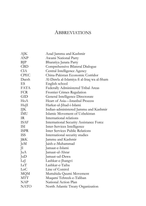# ABBREVIATIONS

| АJК         | Azad Jammu and Kashmir                         |
|-------------|------------------------------------------------|
| ANP         | Awami National Party                           |
| BJP         | Bharatiya Janata Party                         |
| <b>CBD</b>  | Comprehensive Bilateral Dialogue               |
| CIA         | Central Intelligence Agency                    |
| <b>CPEC</b> | China-Pakistan Economic Corridor               |
| Daesh       | Al-Dawla al-Islamiya fi al-Iraq wa al-Sham     |
| ES          | English school                                 |
| FATA        | Federally Administered Tribal Areas            |
| <b>FCR</b>  | Frontier Crimes Regulation                     |
| GID         | General Intelligence Directorate               |
| HoA         | Heart of Asia-Istanbul Process                 |
| HuJI        | Harkat-ul-Jihad-i-Islami                       |
| IJК         | Indian-administered Jammu and Kashmir          |
| <b>IMU</b>  | Islamic Movement of Uzbekistan                 |
| IR          | International relations                        |
| <b>ISAF</b> | <b>International Security Assistance Force</b> |
| <b>ISI</b>  | Inter-Services Intelligence                    |
| <b>ISPR</b> | <b>Inter Services Public Relations</b>         |
| <b>ISS</b>  | International security studies                 |
| J&K         | Jammu and Kashmir                              |
| JeM         | Jaish-e-Muhammad                               |
| $\rm{II}$   | Jamaat-e-Islami                                |
| JuA         | Jamaat-ul-Ahrar                                |
| JuD         | Jamaat-ud-Dawa                                 |
| LeJ         | Lashkar-e-Jhangvi                              |
| LeT         | Lashkar-e-Taiba                                |
| LoC         | Line of Control                                |
| MQM         | Muttahida Qaumi Movement                       |
| MТТ         | Muqami Tehreek-e-Taliban                       |
| NAP         | National Action Plan                           |
| NATO        | North Atlantic Treaty Organization             |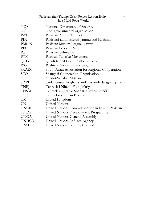|              | Pakistan after Trump: Great Power Responsibility<br>$\overline{X1}$<br>in a Multi-Polar World |  |
|--------------|-----------------------------------------------------------------------------------------------|--|
| NDS.         | National Directorate of Security                                                              |  |
| NGO          | Non-governmental organisation                                                                 |  |
| <b>PAT</b>   | Pakistan Awami Tehreek                                                                        |  |
| PJK          | Pakistani-administered Jammu and Kashmir                                                      |  |
| PML-N        | Pakistan Muslim League Nawaz                                                                  |  |
| <b>PPP</b>   | Pakistan Peoples Party                                                                        |  |
| PTI.         | Pakistan Tehreek-e-Insaf                                                                      |  |
| <b>PTM</b>   | Pashtun Tahafuz Movement                                                                      |  |
| QCG          | Quadrilateral Coordination Group                                                              |  |
| RSS          | Rashtriya Swayamsevak Sangh                                                                   |  |
| SAARC        | South Asian Association for Regional Cooperation                                              |  |
| SCO          | Shanghai Cooperation Organisation                                                             |  |
| <b>SSP</b>   | Sipah-i-Sahaba Pakistan                                                                       |  |
| TAPI         | Turkmenistan-Afghanistan-Pakistan-India (gas pipeline)                                        |  |
| <b>TNFI</b>  | Tehreek-i-Nifaz-i-Fiqh Jafariya                                                               |  |
| TNSM         | Tehreek-e-Nifaz-e-Shariat-e-Muhammadi                                                         |  |
| TTP          | Tehreek-e-Taliban Pakistan                                                                    |  |
| UK.          | United Kingdom                                                                                |  |
| UN.          | <b>United Nations</b>                                                                         |  |
| <b>UNCIP</b> | United Nations Commission for India and Pakistan                                              |  |
| UNDP         | United Nations Development Programme                                                          |  |
| <b>UNGA</b>  | United Nations General Assembly                                                               |  |
| <b>UNHCR</b> | United Nations Refugee Agency                                                                 |  |
| <b>UNSC</b>  | United Nations Security Council                                                               |  |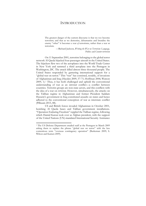## INTRODUCTION

The greatest danger of the current discourse is that we too become terrorists; and that as we demonise, dehumanise and brutalise the enemy "other" it becomes a war *of* terrorisms, rather than a war *on*  terrorism.

> —Richard Jackson, *Writing the War on Terrorism: Language, Politics and Counter-terrorism*

On 11 September 2001, terrorists belonging to the global terror network Al Qaeda hijacked four passenger aircraft in the United States. The hijackers flew two of the aeroplanes into the World Trade Center in New York and rammed a third aeroplane into the Pentagon in Washington, DC. The attack killed almost three thousand people. The United States responded by garnering international support for a "global war on terror." This "war" has consisted, notably, of invasions of Afghanistan and Iraq (Hayden 2009, 57-71; Hoffman 2006; Watson 2009, 1).1 Thus, it has both challenged and upheld the conventional understanding of war as an *interstate* conflict—a conflict between countries. Terrorist groups are non-state actors, and this conflicts with the idea of a war on *terrorism*. However, simultaneously, the attacks on the Taliban regime in Afghanistan and former President Saddam Hussein's government in Iraq constituted assaults on states and hence adhered to the conventional conception of war as interstate conflict (Pilbeam 2015, 88).

US and British forces invaded Afghanistan in October 2001, bombing Al Qaeda bases and Taliban government installations. "Operation Enduring Freedom" toppled the Taliban regime, following which Hamid Karzai took over as Afghan president, with the support of the United Nations (UN)-mandated International Security Assistance

<sup>1</sup> The US Defense Department emailed staff at the Pentagon in March 2009 asking them to replace the phrase "global war on terror" with the less contentious term "overseas contingency operation" (Burkeman 2009; S. Wilson and Kamen 2009).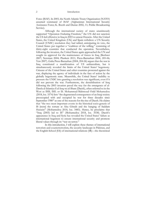Force (ISAF). In 2003, the North Atlantic Treaty Organization (NATO) assumed command of ISAF (Afghanistan International Security Assistance Force; K. Booth and Dunne 2002, 11; Public Broadcasting Service).

Although the international society of states unanimously supported "Operation Enduring Freedom," the UN did not sanction the US-led offensive in Iraq in 2003 to unseat Hussein. After the United States, the United Kingdom (UK) and Spain withdrew a UN Security Council (UNSC) resolution they had tabled, anticipating its veto, the United States put together a "coalition of the willing," consisting of thirty-eight countries that conducted the operation. Nevertheless, following the invasion, the United States again approached the UN and sought its approval for the maintenance of forces in Iraq (Beehner 2007; Newman 2004; Plunkett 2011; Press-Barnathan 2004, 205-06; Yew 2007). Galia Press-Barnathan (2004, 204-06) argues that the war in Iraq constituted a manifestation of US unilateralism, but it simultaneously revealed the limits of the United States' hegemony. Citizens of the United States and other countries protested against the war, displaying the agency of individuals in the face of action by the globally hegemonic state. Meanwhile, the United States' inability to pressure the UNSC into granting a resolution was significant, even if it did not prevent the war. Furthermore, the destabilisation of Iraq following the 2003 invasion paved the way for the emergence of al-Dawla al-Islamiya fi al-Iraq wa al-Sham (Daesh), often referred to in the West as ISIS, ISIL or IS. Mohammad-Mahmoud Ould Mohamedou (2018, loc. 3374) lists "the degenerated consequences of an Iraqi society preoccupied with and occupied by war for three decades since September 1980" as one of the reasons for the rise of Daesh. He claims that "the two most important events in the historical socio-genesis of IS [were] the torture at Abu Ghraib and the hanging of Saddam Hussein" (Mohamedou 2018, loc. 3483). Hence, he proclaims that "Iraq (2003) led to IS" (Mohamedou 2018, loc. 3538). Daesh's appearance in Iraq and Syria has revealed the United States' failure as international hegemon to ensure international security and promote liberal values through its "war on terror."

In this introduction, I will explore these themes of international terrorism and counterterrorism, the security landscape in Pakistan, and the English School (ES) of international relations (IR)—the theoretical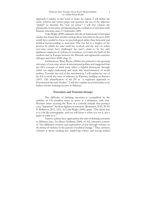approach I employ in this book to make my claims. I will define the terms *terrorism* and *terrorist groups* and question the use of the adjective "global" to describe the "war on terror." I will also explore the *globalisation* of terrorism, problematising the conflation of terrorism with Islamist terrorism since 11 September 2001.

Colin Wight (2009) maintains that the *de-historicisation* of terrorism studies has meant that scholars writing about terrorism in the post-2001 world have tended to focus on psychological rather than historical and political factors leading to terrorism. This has led to a neglect of the process by which the state itself has evolved, and the ways in which non-state actors have challenged the state's claim to be the only legitimate employer of violence in a territory, ever since the birth of the modern state in Europe between the fifteenth and eighteenth centuries (Drogus and Orvis 2008, chap. 2).

Furthermore, Barry Buzan (2004a) has pointed to the growing relevance of non-state actors in international politics and suggested that the ES's concept of *world society* offers a helpful framework through which we might understand and study this transformation of world politics. Towards the end of this introduction, I will explain my use of the ES to study the issue of militancy in Pakistan, building on Buzan's (2015, 126) identification of the ES as "a neglected approach to International Security Studies." I will also explain my positionality as an Indian scholar studying security in Pakistan.

## **Terrorism and Terrorist Groups**

The difficulty of defining terrorism is exemplified by the inability of UN member states to arrive at a definition, with non-Western states accusing the West of a colonial attitude that portrays even "legitimate" freedom fighters as terrorists (Romaniuk 2010, 38-39; P. Wilkinson 2011, 165). As Colin Wight (2009) quips, "The cliché that it is a bit like pornography, and you will know it when you see it, has a grain of truth to it."

Various authors have approached the task of defining terrorism in different ways. For Bruce Hoffman (2006, 41-42), terrorism consists of "the deliberate creation and exploitation of fear through violence or the threat of violence in the pursuit of political change." Thus, terrorist violence is about creating *fear*, employing *violence*, and having *political*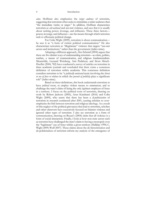#### 4 Introduction

*aims*. Hoffman also emphasises the *target audience* of terrorism, suggesting that terrorism often seeks to intimidate a wider audience than "the immediate victim or target." In addition, Hoffman characterises terrorism as *sub-national* and *non-state* violence, and says that it is usually about seeking power, leverage, and influence. These three factors power, leverage, and influence—are the means through which terrorists seek to effectuate political change.

For Colin Wight (2009), terrorism is about communication he sees it as "a form of violent political communication." He also characterises terrorism as "illegitimate" violence that targets "*non-state*  actors and institutions," rather than the government (italics mine).

Adopting a different approach, Alex Schmid (2004) argues that there are five distinct ways of understanding terrorism—as crime, politics, warfare, a means of communication, and religious fundamentalism. Meanwhile, Leonard Weinberg, Ami Pedahzur, and Sivan Hirsch-Hoefler (2004, 782) have conducted a survey of articles on terrorism in three academic journals and concluded that there exists a consensus definition of terrorism within academia. This consensus definition considers terrorism to be "a *politically motivated* tactic involving the *threat or use of force or violence* in which the *pursuit of publicity* plays a significant role" (italics mine).

Based on these definitions, this book understands terrorism to have *political* roots, to employ violent means to *communicate*, and to challenge the state's claim of being the only *legitimate* employer of force in a territory. I focus on the political roots of terrorism, drawing on work by Robert Jackson (2005), Arun Kundnani (2016) and Colin Wight (2009), who assert that there has been a *de-politicisation* of terrorism in research conducted after 2001, causing scholars to overemphasise the link between terrorism and religious ideology. As a result of this neglect of the political grievances that lead to terrorism, scholars and other observers have excessively focused on Islamist violence and ignored other types of terrorism. I also see terrorism as a form of communication, drawing on Buzan's (2004) claim that all violence is a form of social interaction. Finally, I look at how non-state actors such as terrorists have challenged the state's claim to having a monopoly over the "legitimate" use of force within a given territory (Halliday 1994; C. Wight 2009; Wulf 2007). These claims about the de-historicisation and de-politicisation of terrorism inform my analysis of the emergence of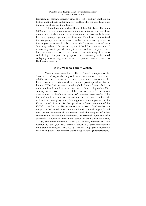terrorism in Pakistan, especially since the 1980s, and my emphasis on history and politics to understand why and how this happened and what it means for the present and future.

 Although authors such as Brian Phillips (2014) and Hoffman (2006) see terrorist groups as subnational organisations, in fact these groups increasingly operate transnationally, and this is certainly the case for many groups operating in Pakistan. Therefore, I understand terrorist groups to be sub-national as well as transnational organisations that employ terrorism. I replace the words "terrorism/terrorist" with "militancy/militant," "separatism/separatist," and "extremism/extremist" in various places to provide variety to readers and avoid repetitiveness, but also, sometimes, to provide a nuanced understanding of the aims and ideology of a particular group, or out of sensitivity to the moral ambiguity surrounding some forms of political violence, such as Kashmiri separatism.

## **Is the "War on Terror" Global?**

Many scholars consider the United States' description of the "war on terror" as global to be problematic. For instance, Helen Dexter (2007) discusses how for some authors, the interventionism of the United States and its Western allies represents post-imperialism. Robert Patman (2006, 964) declares that although the United States dabbled in multilateralism in the immediate aftermath of the 11 September 2001 attacks, its approach to the "global war on terror" has mostly demonstrated a heightened form of *American exceptionalism*: "the informal ideology that endows Americans with the conviction that their nation is an exemplary one." His argument is underpinned by the United States' disregard for the opposition of most members of the UNSC to the Iraq war. He postulates that this sort of unilateralism on the part of the United States cannot continue in a globalising world and that greater international cooperation and the support of other countries and multinational institutions are essential ingredients of a successful response to international terrorism. Paul Wilkinson (2011, 170-81) and Peter Romaniuk (2010, 3-4) similarly maintain that the reaction to the globalised terrorist threat has been insufficiently multilateral. Wilkinson (2011, 173) perceives a "huge gulf between the rhetoric and the reality of international cooperation against terrorism,"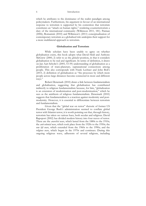#### 6 Introduction

which he attributes to the dominance of the realist paradigm among policymakers. Furthermore, his argument in favour of an international response to terrorism is supported by his contention that terrorism constitutes an "attack on human rights," rendering counterterrorism a duty of the international community (Wilkinson 2011, 181). Patman (2006), Romaniuk (2010) and Wilkinson's (2011) conceptualisation of contemporary terrorism as a globalised risk underpins their support for a more multilateral approach to terrorism.

#### **Globalisation and Terrorism**

While scholars have been unable to agree on whether globalisation exists, this book adopts what David Held and Anthony McGrew (2000, 2) refer to as the *globalist* position, in that it considers globalisation to be real and significant. In terms of definition, it draws on Jan Aart Scholte's (2005, 53-59) understanding of globalisation as a proliferation of trans-planetary, supranational connections among people. This also corresponds with Frank Lechner and John Boli's (2015, 2) definition of globalisation as "the processes by which more people across large distances become connected in more and different ways."

 Robert Denemark (2010) draws a link between fundamentalism and globalisation, suggesting that globalisation has contributed indirectly to religious fundamentalism because, for him, "globalization is an extension of modernization and post-modernization," which he sees as the antithesis of religious fundamentalism. Denemark (2010) suggests that fundamentalism is a reaction against modernity and postmodernity. However, it is essential to differentiate between terrorism and fundamentalism.

Given that the "global war on terror" rhetoric of former US President George Bush's administration seemed to conflate global terror with Islamist terror, it is worth pointing out that, through history, terrorism has taken on various hues, both secular and religious. David Rapoport (2002) has divided modern history into four waves of terror. These are the *anarchist wave*, which lasted from the 1880s to the 1910s; the *anti-colonial wave*, which took place from the 1920s to the 1950s; the *new left wave*, which extended from the 1960s to the 1990s; and the *religious wave*, which began in the 1970s and continues. During this ongoing religious wave, adherents of several religions, including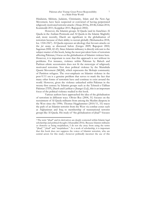Hinduism, Sikhism, Judaism, Christianity, Islam and the New-Age Movement, have been suspected or convicted of having perpetrated religiously motivated terrorist attacks (Ahuja 2014a, 2014b; Gilani 2014; Komireddi 2011; Koppikar 2011; Rapoport 2002).

However, the Islamist groups Al Qaeda (and its franchises Al Qaeda in the Arabian Peninsula and Al Qaeda in the Islamic Maghrib) and, more recently, Daesh are significant in the globalisation of terrorism because of their ability to recruit globally (Mohamedou 2018, loc. 1324-2367). Al Qaeda espouses an ideology that favours attacks on the *far enemy*, as discussed below (Gerges 2009; Rapoport 2002; Sageman 2008, 42-43). Since Islamist militancy is directly relevant to the subject matter of this book, being the most prevalent form of terrorism affecting Pakistan, I focus on the globalisation of Islamist violence here. However, it is important to note that this approach is not without its problems. For instance, violence within Pakistan by Baloch and Pashtun ethnic secessionists does not fit the stereotype of religiously motivated terrorism. Nor does political violence by the Muttahida Qaumi Movement (MQM), which represents the Mohajir community of Partition refugees. The over-emphasis on Islamist violence in the post-9/11 era is a genuine problem that serves to mask the fact that many other forms of terrorism have and continue to exist around the world. However, given the violence unleashed *within* Pakistan in the twenty-first century by Islamist groups such as the Tehreek-e-Taliban Pakistan (TTP), Daesh and Lashkar-e-Jhangvi (LeJ), this is an important focus of the political violence studied in this book.

Various authors have approached the idea of the globalisation of terrorism in different ways. Olivier Roy (2004, 51) focuses on the recruitment of Al Qaeda militants from among the Muslim diaspora in the West since the 1990s. Thomas Hegghammer (2010/11, 53) traces the path of an Islamist terrorist from the West via combat zones such as Afghanistan and Iraq to membership of transnational terrorist groups like Al Qaeda. His study of "the globalization of jihad"2 focuses

<sup>2</sup> The term "jihad" and its derivatives are deeply contested within Islamic legal scholarship and political thought (Afsaruddin 2016). Because Islamist militants *see themselves* as being mujahideen, I do not shy away from using the terms "jihad," "*jihadi*" and "mujahideen." As a work of scholarship, it is important that this book does not suppress the voices of Islamist terrorists, who are central actors for this study—however politically incorrect the use of this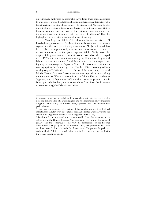#### 8 Introduction

on religiously motivated fighters who travel from their home countries to war zones, whom he distinguishes from international terrorists who target civilians outside these zones. He argues that "foreign fighter mobilizations empower transnational terrorist groups such as al-Qaida, because volunteering for war is the principal stepping-stone for individual involvement in more extreme forms of militancy." Thus, he highlights the internationalisation of terrorist training.

Marc Sageman (2008, 29-31) draws a distinction between Al Qaeda the organisation and Al Qaeda the social movement. His primary argument is that Al Qaeda the organisation, or Al Qaeda Central, has been replaced in importance by a looser, more informal web of militant networks spread across the globe. Sageman (2008, 37-38) traces the origins of the globalisation of Islamist violence to a debate that emerged in the 1970s with the dissemination of a pamphlet authored by radical Islamist theorist Muhammad Abdel Salam Faraj. In it, Faraj argued that fighting the *near enemy*, the "apostate" local ruler, was more critical than warring against the far enemy, Israel.<sup>3</sup> In the 1990s, it was argued by a small group of Salafis<sup>4</sup> that the overthrow of the near enemy, the local Middle Eastern "apostate" governments, was dependent on expelling the far enemy or Western powers from the Middle East. According to Sageman, the 11 September 2001 attackers were proponents of this latter approach. For him, it is terrorists whose focus is on the far enemy who constitute global Islamist terrorism.

terminology may be. Nevertheless, I am acutely sensitive to the fact that this risks the demonisation of a whole religion and its adherents and have therefore sought to minimise my use of these terms, especially given the contemporary political context.

<sup>3</sup> Faraj was representative of a faction of Salafis who believed that the local Middle Eastern rulers were apostates as they had adopted Western ways to the extent of having abandoned true Islam (Sageman 2008, 37-38).

<sup>4</sup> Salafism refers to a puritanical movement within Islam that advocates strict adherence to the Quran, the *sunna* (the example of the Prophet Muhammad (SAW)) and the consensus of the *salaf* (the companions of the Prophet Muhammad (SAW)). Quintan Wiktorowicz (2006, 208) proclaims that there are three major factions within the Salafi movement: "the purists, the politicos, and the jihadis." References to Salafism within this book are concerned with the violent faction of Salafis.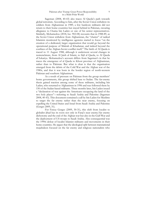### Pakistan after Trump: Great Power Responsibility in a Multi-Polar World

Sageman (2008, 40-43) also traces Al Qaeda's path towards global terrorism. According to him, after the Soviet Union withdrew its soldiers from Afghanistan in 1989, a few hardcore militants did not return to their home countries but stayed behind in Pakistan, swearing allegiance to Osama bin Laden or one of his senior representatives. Similarly, Mohamedou (2018, loc. 902-08) recounts that in 1988-89, as the Soviet Union withdrew from Afghanistan, the "chatter" of radical Islamists monitored by intelligence agencies started to focus "on the creation of a dedicated, larger organisation that would go beyond the operational purpose of Maktab al Khadamat, and indeed beyond the confines of the Afghan-Soviet conflict itself." The birth of Al Qaeda is traced to 11 August 1988, although it underwent several changes in nomenclature, from Al Jaish al Islami, to Sijil al Qaeda, to Al Qaeda al'Askariya. Mohamedou's account differs from Sageman's in that he traces the emergence of al Qaeda to Khost province of Afghanistan, rather than to Pakistan. But what is clear is that the organisation emerged from the debris of the Cold War and the Afghan war of the 1980s, and that it was born in the border region of north-western Pakistan and southern Afghanistan.

As a result of pressure on Pakistan from the group members' home governments, this group shifted base to Sudan. The far-enemy thesis gained traction among some of these militants, including bin Laden, who returned to Afghanistan in 1996 and was followed there by 150 of the Sudan-based militants. Three months later, bin Laden issued a "declaration of war against the Americans occupying the land of the two holy places"—referring to Saudi Arabia and Palestine (Sageman 2008, 40-43). This document contained a call by bin Laden for Muslims to target the far enemy rather than the near enemy, focusing on expelling the United States and Israel from Saudi Arabia and Palestine (Gerges 2009, 31).

For Fawaz Gerges (2009, 30-31), this shift from localist to globalist jihad has its roots not only in Faraj's near enemy/far enemy dichotomy and the end of the Afghan war but also in the Gulf War and the deployment of US troops to Saudi Arabia. Also consequential was the 1990s defeat of localist Islamist militants and movements in their home countries. He argues that the ideological split between transnational mujahideen focused on the far enemy and religious nationalists who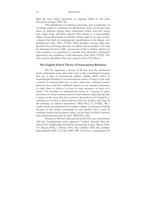fight the near enemy represents an ongoing schism in the *jihadi*  movement (Gerges 2009, 34).

This globalisation of Islamist extremism, and, in particular, of Al Qaeda, points to a problem for IR theorists: How can theories that focus on relations among states understand violent non-state actors who target states and their citizens? This relates to a long-standing debate among IR scholars on whether theory ought to be state-centric, a dispute that finds its contemporary manifestation in the debate over globalisation (Hay 2010, 279-80). With globalists having called into question the continuing relevance of realism and neorealism—for long the dominant theories of IR—on account of their complete reliance on state-centrism, it is pertinent to consider how alternative theoretical approaches can contribute to this discussion (Hay 2010, 279-80). The next section will address this issue using the lens of ES theory.

## **The English School Theory of International Relations**

The ES represents a theory of IR that sees the *international system*, *international society*, and *world society* as three interlinked concepts that are at play in international politics. Hedley Bull's (2012, 9) foundational definition of an international system of states is that such a system "is formed when two or more states have sufficient contact between them, and have sufficient impact on one another's decisions, to cause them to behave—at least in some measure—as parts of a whole." He describes an international society as "a group of states, conscious of certain common interests and common values, [that] form a society in the sense that they conceive themselves to be bound by a common set of rules in their relations with one another, and share in the working of common institutions" (Bull 2012, 13). Finally, "By a world society we understand not merely a degree of interaction linking all parts of the human community to one another, but a sense of common interest and common values, on the basis of which common rules and institutions may be built" (Bull 2012, 269).

Scholars of IR have often perceived the ES to be synonymous with the "international-society approach." Indeed, theorists from the school have traditionally prioritised international society (Buzan 2001, 471; Buzan 2004a, 7; Dunne 2010, 142; Linklater 2005, 84; Linklater and Suganami 2006, 13; Little 2000, 398). However, contemporary ES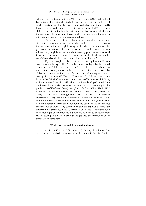scholars such as Buzan (2001, 2004), Tim Dunne (2010) and Richard Little (2000) have argued forcefully that the international-system and world-society levels of analysis constitute invaluable contributions to IR theory. They consider one of the critical strengths of the ES to lie in its ability to theorise in the twenty-first-century globalised context wherein transnational identities and forces wield considerable influence on international politics, but states remain relevant.

These concerns of the evolving ES with globalisation and nonstate actors informs the analysis in this book of terrorist groups as transnational actors in a globalising world where states remain the primary actors in terms of counterterrorism. I consider states to remain relevant despite globalisation and the increasing power of transnational forces that transcend the state. In that sense, this book falls within the *pluralist* strand of the ES, as explained further in Chapter 2.

Equally, though, this book will test the strength of the ES as a contemporary theory of IR. The unilateralism displayed by the United States in the "global war on terror," as well as the challenge to international society's monopoly over the use of violence posed by global terrorists, constitute tests for international society as a viable concept in today's world (Dunne 2010, 154). The ES traces its history back to the British Committee on the Theory of International Politics, which was established in 1959. The committee developed its thinking on international society over subsequent years, culminating in the publication of *Diplomatic Investigations* (Butterfield and Wight 1966). 1977 witnessed the publication of the first edition of Bull's (2012) *Anarchical Society*. In the 1990s, a new generation of ES authors contributed to *International Society and the Development of International Relations Theory*, edited by Barbara Allen Roberson and published in 1998 (Buzan 2001, 472-74; Roberson 2002). However, with the dawn of the twenty-first century, Buzan (2001, 471) complained that the ES had become "an underexploited resource in IR." Therefore, one of the tasks of this book is to shed light on whether the ES remains relevant to contemporary IR, by testing its ability to provide insight into the phenomenon of transnational terrorism.

## **World Society and Transnational Actors**

As Parag Khanna (2011, chap. 2) shows, globalisation has caused some so-called "weak states" to become still "weaker," while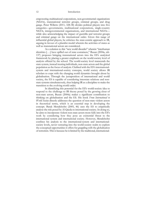empowering multinational corporations, non-governmental organisations (NGOs), transnational terrorist groups, criminal groups, and drug gangs. Peter Willetts (2011, 328-38) divides political players into five categories—governments, multinational corporations, single-country NGOs, intergovernmental organisations, and international NGOs while also acknowledging the impact of guerrilla and terrorist groups and criminal gangs on the international order. Given this range of influential global players, he criticises the state-centric approach to IR, arguing in favour of a pluralist model wherein the activities of states as well as transnational actors are considered.

As a solution to this "new world disorder" wherein "interhuman identities [. . .] have spilled out of state containers," Buzan (2004a, xiii-137) proposes bringing transnational actors into the ES's analytical framework by placing a greater emphasis on the world-society level of analysis offered by the school. The world-society level transcends the state system, instead treating individuals, non-state actors and the global population as the focus of analysis. Clubbed with the ES's internationalsystem and international-society concepts, world society allows IR scholars to cope with the changing world dynamics brought about by globalisation. Through the juxtaposition of international and world society, the ES is capable of considering interstate relations and nonstate systems simultaneously, thus helping IR as a discipline to make the transition to the evolving world order.

In identifying this potential for the ES's world-society idea to respond to the challenge to IR theory posed by the growing clout of non-state actors, Buzan (2004a) makes a significant contribution to thinking on globalisation and the ES. His book *From International to World Society* directly addresses the question of non-state violent actors in theoretical terms, which is an essential step in developing the concept. Barak Mendelsohn (2005, 46) uses the ES to empirically analyse the risk posed by Al Qaeda to international society. In doing so, he aims to incorporate violent non-state actors more fully into the ES's work by considering how they pose an existential threat to the international system and international society. However, Mendelsohn confines his analysis to the international-system and internationalsociety levels, never venturing into the world-society realm to explore the conceptual opportunities it offers for grappling with the globalisation of terrorism. This is because he is limited by the traditional, international-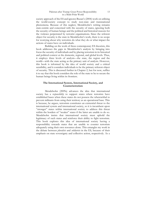### Pakistan after Trump: Great Power Responsibility in a Multi-Polar World

society approach of the ES and ignores Buzan's (2004) work on utilising the world-society concept to study non-state and transnational phenomena. Because of this neglect, Mendelsohn's writing remains state-centric and concerned with the security of states, ignoring both the security of human beings and the political and historical reasons for the violence perpetrated by terrorist organisations. Since the referent object for security is the state in Mendelsohn's work, there is no scope for worrying about why terrorists do what they do or what impact the actions of states have on individuals.

Building on the work of these contemporary ES theorists, this book addresses the gaps in Mendelsohn's analysis by bringing into focus the security of individuals and by placing terrorism in its historical and political context at the domestic, regional, and global levels. Thus, it employs three levels of analysis—the state, the region and the world—with the state acting as the primary unit of analysis. However, this book is informed by the idea of world society and a critical sensibility, and it considers individuals to be the primary referent object of security. This is discussed further in Chapter 2, but for now, suffice it to say that this book considers the role of the state to be to secure the human beings living within its frontiers.

## **The International System, International Society, and Counterterrorism**

Mendelsohn (2009a) advances the idea that international society has a *responsibility* to support states where terrorists have established bases when these states do not possess the wherewithal to prevent militants from using their territory as an operational base. This is because, he argues, terrorism constitutes an existential threat to the international system and international society, so it is incumbent upon "stronger" states within international society to address this threat within the borders of "weaker" states if the latter are unable to do so. Mendelsohn insists that international society must uphold the legitimacy of such states and reinforce their ability to fight terrorism. This book explores this idea of international society having a responsibility towards states that are unable to counter terrorism adequately using their own resources alone. This entangles my work in the debate between *pluralists* and *solidarists* in the ES, because of their emphasis on state sovereignty and collective action, respectively. As a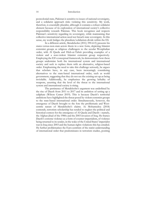#### 14 Introduction

postcolonial state, Pakistan is sensitive to issues of national sovereignty, and a solidarist approach risks violating this sensitivity. My work, therefore, is essentially pluralist, although it contains a robust solidarist element because of its exploration of international society's collective responsibility towards Pakistan. This book recognises and respects Pakistan's sensitivity regarding its sovereignty, while maintaining that collective international action need not breach state sovereignty. In this sense, my work bridges the pluralism/solidarism divide within the ES.

In a different article, Mendelsohn (2012, 590-613) presents his states-versus-non-state-actors thesis in a new form, depicting Islamist extremist groups as religious challengers to the secular Westphalian order, with Al Qaeda and Hizb-ut-Tahrir providing examples of a violent and a non-violent Islamist extremist group respectively. Employing the ES's conceptual framework, he demonstrates how these groups undermine both the international system and international society and seek to replace them with an alternative, religion-based order. Emphasising the need to take this challenge seriously, he argues that scholars have, in any case, been increasingly considering alternatives to the state-based international order, such as world government, suggesting that they do not see the existing set-up as being inviolable. Additionally, he emphasises the growing lethality of weapons, asserting that the level of the threat to the international system and international society is rising.

The pertinence of Mendelsohn's argument was underlined by the rise of Daesh from 2011 to 2017 and its ambition of setting up a caliphate (Wilson Center 2019). This is because Daesh's territorial ambitions have highlighted the threat posed by violent extremist groups to the state-based international order. Simultaneously, however, the emergence of Daesh brought to the fore the problematic and Westcentric nature of Mendelsohn's claims. As Mohamedou (2018) contends, terrorism scholarship has tended to neglect the political and historical context for the emergence of Al Qaeda and Daesh—namely, the Afghan jihad of the 1980s and the 2003 invasion of Iraq. He frames Daesh's extreme violence as a form of counter-imperialism, of violence being returned to its sender, in the wake of the United States' imperialist war in Iraq since 2003 and the human-rights violations this has entailed. He further problematises the Euro-centrism of the statist understanding of international order that predominates in terrorism studies, positing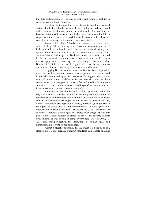that this understanding is ignorant of spatial and temporal realities in Asia, Africa, and South America.

This leads to the question of *why* the state-based international system should be defended against threats, and why a religion-based order such as a caliphate should be unthinkable. The question of Daesh's extreme violence is pertinent, although, as Mohamedou (2018) emphasises, the violence of powerful states has *also* been lethal, yet we consider the status-quo international order acceptable.

Buzan (1991, 306-08) holds that *revolutionary-revisionist* forces, which challenge "the organizing principles of the dominant status quo," feel vulnerable in a hostile world. In an international society that upholds the institution of territoriality, a revolutionary-revisionist state such as Pakistan with respect to Kashmir is more likely to be criticised by the international community than a status-quo state such as India that is happy with the status quo of possessing the Kashmir valley. Buzan (1991, 308) claims that ideological differences between statusquo and revisionist powers amplify mutual fear and hostility.

Applying Buzan's argument to Islamist terrorists, it is possible that states, as the status-quo powers, have exaggerated the threat posed by terrorist groups in the post-9/11 scenario. This suggests that the vast sums of money spent on defeating Islamist terrorists may well be a consequence of this exaggerated sense of fear and hostility. Paying more attention to "soft" counterterrorism could help deflate the tensions that have caused much human suffering since 2001.

Returning to the pluralist and solidarist positions within the ES, it is useful to consider Nicholas Wheeler's (2000) exploration of this distinction in the context of humanitarian interventionism. Wheeler explains that pluralism privileges the aim of *order* in international life, whereas solidarism privileges *justice*. Hence, pluralism gives priority to the rights and duties of states and the institutions "of sovereignty, nonintervention, and non-use of force" (Wheeler 2000, 11). Conversely, for solidarists, individuals have rights that states must safeguard, and this places a moral responsibility on states "to protect the security of their own citizens" as well as human beings everywhere (Wheeler 2000, 11- 12). From this perspective, the institutions of human rights and humanitarian intervention are prioritised.

Within a pluralist approach, the emphasis is on the right of a state to exist. Consequently, pluralism manifests in interstate relations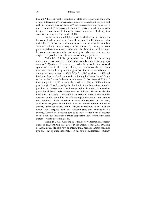#### 16 Introduction

through "the reciprocal recognition of state sovereignty and the norm of non-intervention." Conversely, solidarism considers it possible and realistic to expect diverse states to "reach agreement about substantive moral standards," and gives international society a moral right to seek to uphold these standards. Here, the stress is on an individual's right to security (Bellamy and McDonald 2004).

Samuel Makinda (2005b), however, challenges the distinction between pluralism and solidarism. He avows that ES theorists who make this distinction have misunderstood the work of earlier scholars such as Bull and Martin Wight, who comfortably swung between pluralist and solidarist ideas. Furthermore, he claims that the dichotomy between state security and human security is a false one, as all security ought to be people-centred from a democratic perspective.

Makinda's (2005b) perspective is helpful in considering international cooperation to counter terrorism. Islamist terrorist groups such as Al Qaeda and Daesh have posed a threat to the international system of states in the post-9/11 era, but simultaneously have been threatened themselves by human-rights violations that have taken place during the "war on terror." Wali Aslam's (2016) work on the ES and Pakistan adopts a pluralist stance in critiquing the United States' drone strikes in the former Federally Administered Tribal Areas (FATA) of Pakistan (which in 2018 were absorbed into Khyber Pakhtunkhwa province (R. Yusufzai 2018)). In this book, I similarly take a pluralist position, in deference to the intense nationalism that characterises postcolonial South Asian states such as Pakistan. However, despite Pakistan's sensitivities surrounding sovereignty, there is the broader question of who should be the referent object of security—the state or the individual. While pluralism favours the security of the state, solidarism recognises the individual as the ultimate referent object of security. Terrorist attacks within Pakistan in reaction to the "war on terror" have targeted both the Pakistani state and civilians in the country. Therefore, I consider both to be the referent objects of security in this book, but I maintain a critical scepticism about whether the state system is worth protecting at all.

Makinda (2003) raises the question of how international society ought to confront non-state actors in his analysis of the 2001 invasion of Afghanistan. He asks how an international security threat posed not by a state, but by a transnational actor, ought to be addressed. Is military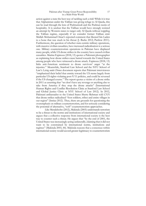### Pakistan after Trump: Great Power Responsibility in a Multi-Polar World

action against a state the best way of tackling such a risk? While it is true that Afghanistan under the Taliban was giving refuge to Al Qaeda, this can be read through the lens of Pashtunwali and the Pashtun norm of hospitality. It is unclear that the Taliban would have strongly resisted an attempt by Western states to target only Al Qaeda without toppling the Taliban regime, especially if we consider former Taliban emir Mullah Mohammad Omar's reported comment that likened bin Laden to a bone that was stuck in his throat (J. Burke 2012; Partlow 2011). Furthermore, the question of whether state-centric military operations, with massive civilian casualties, have increased radicalisation is a serious one. Military counterterrorism operations in Pakistan have displaced many people, while US drone strikes in the country have caused civilian casualties. Marina Espinoza (2018, 13) quotes a Pakistani photographer as explaining how drone strikes cause hatred towards the United States among people who have witnessed a drone attack. Espinoza (2018, 13) links anti-American sentiment to drone survivors' anger "at the injustice." Meanwhile, Stanford Law School and the NYU School of Law's *Living under Drones* document reports that Pakistani interviewees "emphasized their belief that enmity toward the US stems largely from particular US rights-violating post-9/11 policies, and could be reversed if the US changed course." The report quotes a victim of a drone strike in 2011 as asserting that "we don't have any revenge or anything else to take from America if they stop the drone attacks" (International Human Rights and Conflict Resolution Clinic at Stanford Law School and Global Justice Clinic at NYU School of Law 2012). In 2012, Pakistani ambassador to the United States Sherry Rehman told *CNN*  that drone strikes radicalised "foot soldiers, tribes and entire villages in our region" (Imtiaz 2012). Thus, there are grounds for questioning the overemphasis on military counterterrorism, and for seriously considering the potential of alternative, "soft" counterterrorism approaches.

Like Mendelsohn (2012), Makinda (2003) understands terrorism to be a threat to the norms and institutions of international society and argues that a collective response from international society is the best way to counter such a threat. He argues that "by the end of 2001, the United States was increasingly acting unilaterally, claiming that it did not want to be constrained by international norms, institutions and regimes" (Makinda 2003, 44). Makinda reasons that a consensus within international society would accord greater legitimacy to counterterrorism